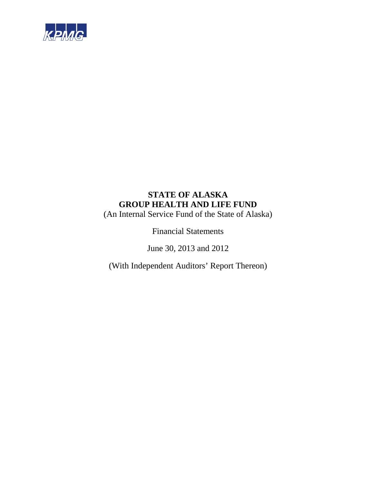

(An Internal Service Fund of the State of Alaska)

Financial Statements

June 30, 2013 and 2012

(With Independent Auditors' Report Thereon)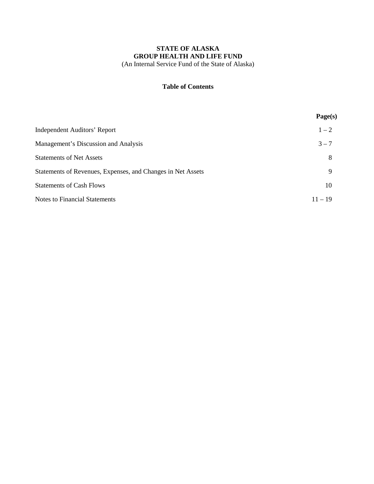### **Table of Contents**

|                                                             | Page(s)   |
|-------------------------------------------------------------|-----------|
| <b>Independent Auditors' Report</b>                         | $1 - 2$   |
| Management's Discussion and Analysis                        | $3 - 7$   |
| <b>Statements of Net Assets</b>                             | 8         |
| Statements of Revenues, Expenses, and Changes in Net Assets | 9         |
| <b>Statements of Cash Flows</b>                             | 10        |
| <b>Notes to Financial Statements</b>                        | $11 - 19$ |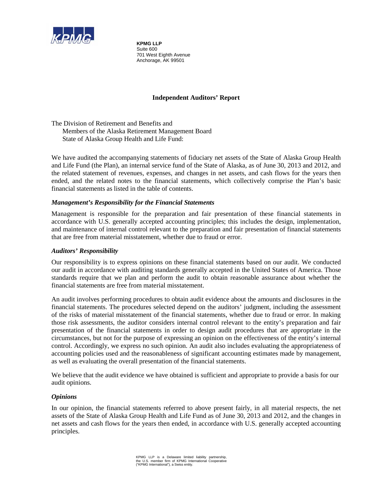

**KPMG LLP**  Suite 600 701 West Eighth Avenue Anchorage, AK 99501

# **Independent Auditors' Report**

The Division of Retirement and Benefits and Members of the Alaska Retirement Management Board State of Alaska Group Health and Life Fund:

We have audited the accompanying statements of fiduciary net assets of the State of Alaska Group Health and Life Fund (the Plan), an internal service fund of the State of Alaska, as of June 30, 2013 and 2012, and the related statement of revenues, expenses, and changes in net assets, and cash flows for the years then ended, and the related notes to the financial statements, which collectively comprise the Plan's basic financial statements as listed in the table of contents.

### *Management's Responsibility for the Financial Statements*

Management is responsible for the preparation and fair presentation of these financial statements in accordance with U.S. generally accepted accounting principles; this includes the design, implementation, and maintenance of internal control relevant to the preparation and fair presentation of financial statements that are free from material misstatement, whether due to fraud or error.

### *Auditors' Responsibility*

Our responsibility is to express opinions on these financial statements based on our audit. We conducted our audit in accordance with auditing standards generally accepted in the United States of America. Those standards require that we plan and perform the audit to obtain reasonable assurance about whether the financial statements are free from material misstatement.

An audit involves performing procedures to obtain audit evidence about the amounts and disclosures in the financial statements. The procedures selected depend on the auditors' judgment, including the assessment of the risks of material misstatement of the financial statements, whether due to fraud or error. In making those risk assessments, the auditor considers internal control relevant to the entity's preparation and fair presentation of the financial statements in order to design audit procedures that are appropriate in the circumstances, but not for the purpose of expressing an opinion on the effectiveness of the entity's internal control. Accordingly, we express no such opinion. An audit also includes evaluating the appropriateness of accounting policies used and the reasonableness of significant accounting estimates made by management, as well as evaluating the overall presentation of the financial statements.

We believe that the audit evidence we have obtained is sufficient and appropriate to provide a basis for our audit opinions.

### *Opinions*

In our opinion, the financial statements referred to above present fairly, in all material respects, the net assets of the State of Alaska Group Health and Life Fund as of June 30, 2013 and 2012, and the changes in net assets and cash flows for the years then ended, in accordance with U.S. generally accepted accounting principles.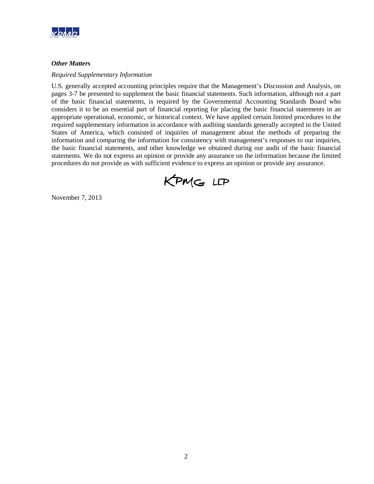

#### *Other Matters*

#### *Required Supplementary Information*

U.S. generally accepted accounting principles require that the Management's Discussion and Analysis, on pages 3-7 be presented to supplement the basic financial statements. Such information, although not a part of the basic financial statements, is required by the Governmental Accounting Standards Board who considers it to be an essential part of financial reporting for placing the basic financial statements in an appropriate operational, economic, or historical context. We have applied certain limited procedures to the required supplementary information in accordance with auditing standards generally accepted in the United States of America, which consisted of inquiries of management about the methods of preparing the information and comparing the information for consistency with management's responses to our inquiries, the basic financial statements, and other knowledge we obtained during our audit of the basic financial statements. We do not express an opinion or provide any assurance on the information because the limited procedures do not provide us with sufficient evidence to express an opinion or provide any assurance.

KPMG LLP

November 7, 2013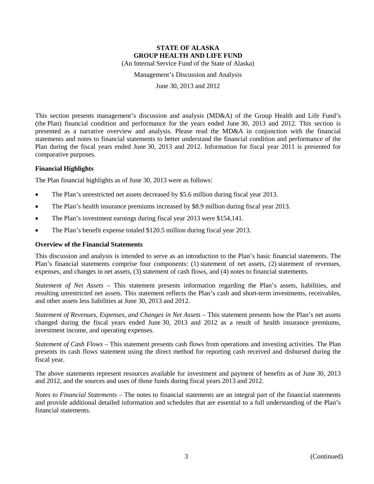Management's Discussion and Analysis

June 30, 2013 and 2012

This section presents management's discussion and analysis (MD&A) of the Group Health and Life Fund's (the Plan) financial condition and performance for the years ended June 30, 2013 and 2012. This section is presented as a narrative overview and analysis. Please read the MD&A in conjunction with the financial statements and notes to financial statements to better understand the financial condition and performance of the Plan during the fiscal years ended June 30, 2013 and 2012. Information for fiscal year 2011 is presented for comparative purposes.

### **Financial Highlights**

The Plan financial highlights as of June 30, 2013 were as follows:

- The Plan's unrestricted net assets decreased by \$5.6 million during fiscal year 2013.
- The Plan's health insurance premiums increased by \$8.9 million during fiscal year 2013.
- The Plan's investment earnings during fiscal year 2013 were \$154,141.
- The Plan's benefit expense totaled \$120.5 million during fiscal year 2013.

#### **Overview of the Financial Statements**

This discussion and analysis is intended to serve as an introduction to the Plan's basic financial statements. The Plan's financial statements comprise four components: (1) statement of net assets, (2) statement of revenues, expenses, and changes in net assets, (3) statement of cash flows, and (4) notes to financial statements.

*Statement of Net Assets* – This statement presents information regarding the Plan's assets, liabilities, and resulting unrestricted net assets. This statement reflects the Plan's cash and short-term investments, receivables, and other assets less liabilities at June 30, 2013 and 2012.

*Statement of Revenues, Expenses, and Changes in Net Assets* – This statement presents how the Plan's net assets changed during the fiscal years ended June 30, 2013 and 2012 as a result of health insurance premiums, investment income, and operating expenses.

*Statement of Cash Flows* – This statement presents cash flows from operations and investing activities. The Plan presents its cash flows statement using the direct method for reporting cash received and disbursed during the fiscal year.

The above statements represent resources available for investment and payment of benefits as of June 30, 2013 and 2012, and the sources and uses of those funds during fiscal years 2013 and 2012.

*Notes to Financial Statements* – The notes to financial statements are an integral part of the financial statements and provide additional detailed information and schedules that are essential to a full understanding of the Plan's financial statements.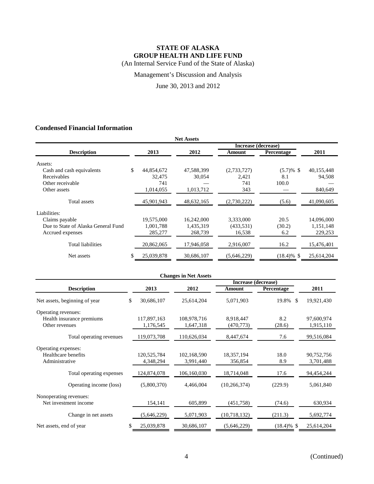Management's Discussion and Analysis

June 30, 2013 and 2012

### **Condensed Financial Information**

|                                     |    |            | <b>Net Assets</b> |                     |               |            |
|-------------------------------------|----|------------|-------------------|---------------------|---------------|------------|
|                                     |    |            |                   | Increase (decrease) |               |            |
| <b>Description</b>                  |    | 2013       | 2012              | Amount              | Percentage    | 2011       |
| Assets:                             |    |            |                   |                     |               |            |
| Cash and cash equivalents           | \$ | 44,854,672 | 47,588,399        | (2,733,727)         | $(5.7)%$ \$   | 40,155,448 |
| Receivables                         |    | 32,475     | 30,054            | 2,421               | 8.1           | 94,508     |
| Other receivable                    |    | 741        |                   | 741                 | 100.0         |            |
| Other assets                        |    | 1,014,055  | 1,013,712         | 343                 |               | 840,649    |
| Total assets                        |    | 45,901,943 | 48,632,165        | (2,730,222)         | (5.6)         | 41,090,605 |
| Liabilities:                        |    |            |                   |                     |               |            |
| Claims payable                      |    | 19,575,000 | 16,242,000        | 3,333,000           | 20.5          | 14,096,000 |
| Due to State of Alaska General Fund |    | 1,001,788  | 1,435,319         | (433, 531)          | (30.2)        | 1,151,148  |
| Accrued expenses                    |    | 285,277    | 268,739           | 16,538              | 6.2           | 229,253    |
| <b>Total liabilities</b>            |    | 20,862,065 | 17,946,058        | 2,916,007           | 16.2          | 15,476,401 |
| Net assets                          | S  | 25,039,878 | 30,686,107        | (5,646,229)         | $(18.4)\%$ \$ | 25,614,204 |

| <b>Changes in Net Assets</b>  |                  |             |                     |               |            |  |  |  |  |
|-------------------------------|------------------|-------------|---------------------|---------------|------------|--|--|--|--|
|                               |                  |             | Increase (decrease) |               |            |  |  |  |  |
| <b>Description</b>            | 2013             | 2012        | Amount              | Percentage    | 2011       |  |  |  |  |
| Net assets, beginning of year | \$<br>30,686,107 | 25,614,204  | 5,071,903           | 19.8% \$      | 19,921,430 |  |  |  |  |
| Operating revenues:           |                  |             |                     |               |            |  |  |  |  |
| Health insurance premiums     | 117,897,163      | 108,978,716 | 8,918,447           | 8.2           | 97,600,974 |  |  |  |  |
| Other revenues                | 1,176,545        | 1,647,318   | (470, 773)          | (28.6)        | 1,915,110  |  |  |  |  |
| Total operating revenues      | 119,073,708      | 110,626,034 | 8,447,674           | 7.6           | 99,516,084 |  |  |  |  |
| Operating expenses:           |                  |             |                     |               |            |  |  |  |  |
| Healthcare benefits           | 120,525,784      | 102,168,590 | 18,357,194          | 18.0          | 90,752,756 |  |  |  |  |
| Administrative                | 4,348,294        | 3,991,440   | 356,854             | 8.9           | 3,701,488  |  |  |  |  |
| Total operating expenses      | 124,874,078      | 106,160,030 | 18,714,048          | 17.6          | 94,454,244 |  |  |  |  |
| Operating income (loss)       | (5,800,370)      | 4,466,004   | (10, 266, 374)      | (229.9)       | 5,061,840  |  |  |  |  |
| Nonoperating revenues:        |                  |             |                     |               |            |  |  |  |  |
| Net investment income         | 154,141          | 605,899     | (451,758)           | (74.6)        | 630,934    |  |  |  |  |
| Change in net assets          | (5,646,229)      | 5,071,903   | (10,718,132)        | (211.3)       | 5,692,774  |  |  |  |  |
| Net assets, end of year       | 25,039,878       | 30,686,107  | (5,646,229)         | $(18.4)\%$ \$ | 25,614,204 |  |  |  |  |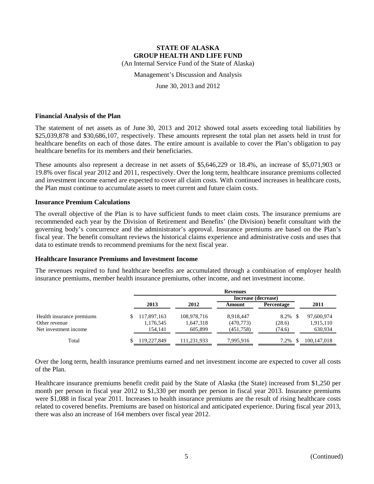Management's Discussion and Analysis

June 30, 2013 and 2012

#### **Financial Analysis of the Plan**

The statement of net assets as of June 30, 2013 and 2012 showed total assets exceeding total liabilities by \$25,039,878 and \$30,686,107, respectively. These amounts represent the total plan net assets held in trust for healthcare benefits on each of those dates. The entire amount is available to cover the Plan's obligation to pay healthcare benefits for its members and their beneficiaries.

These amounts also represent a decrease in net assets of \$5,646,229 or 18.4%, an increase of \$5,071,903 or 19.8% over fiscal year 2012 and 2011, respectively. Over the long term, healthcare insurance premiums collected and investment income earned are expected to cover all claim costs. With continued increases in healthcare costs, the Plan must continue to accumulate assets to meet current and future claim costs.

#### **Insurance Premium Calculations**

The overall objective of the Plan is to have sufficient funds to meet claim costs. The insurance premiums are recommended each year by the Division of Retirement and Benefits' (the Division) benefit consultant with the governing body's concurrence and the administrator's approval. Insurance premiums are based on the Plan's fiscal year. The benefit consultant reviews the historical claims experience and administrative costs and uses that data to estimate trends to recommend premiums for the next fiscal year.

#### **Healthcare Insurance Premiums and Investment Income**

The revenues required to fund healthcare benefits are accumulated through a combination of employer health insurance premiums, member health insurance premiums, other income, and net investment income.

|                           | <b>Revenues</b> |             |                     |            |             |  |  |  |
|---------------------------|-----------------|-------------|---------------------|------------|-------------|--|--|--|
|                           |                 |             | Increase (decrease) |            |             |  |  |  |
|                           | 2013            | 2012        | Amount              | Percentage | 2011        |  |  |  |
| Health insurance premiums | 117,897,163     | 108,978,716 | 8,918,447           | 8.2%       | 97,600,974  |  |  |  |
| Other revenue             | 1,176,545       | 1,647,318   | (470, 773)          | (28.6)     | 1,915,110   |  |  |  |
| Net investment income     | 154.141         | 605,899     | (451,758)           | (74.6)     | 630,934     |  |  |  |
| Total                     | 119,227,849     | 111.231.933 | 7.995.916           | 7.2%       | 100.147.018 |  |  |  |

Over the long term, health insurance premiums earned and net investment income are expected to cover all costs of the Plan.

Healthcare insurance premiums benefit credit paid by the State of Alaska (the State) increased from \$1,250 per month per person in fiscal year 2012 to \$1,330 per month per person in fiscal year 2013. Insurance premiums were \$1,088 in fiscal year 2011. Increases to health insurance premiums are the result of rising healthcare costs related to covered benefits. Premiums are based on historical and anticipated experience. During fiscal year 2013, there was also an increase of 164 members over fiscal year 2012.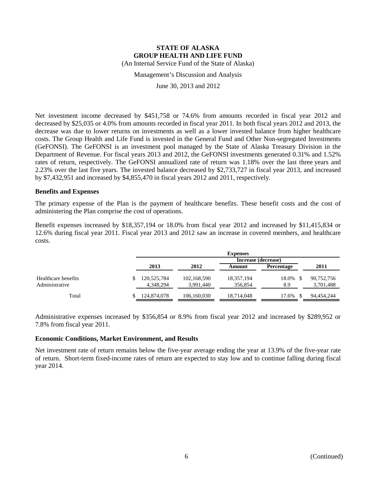Management's Discussion and Analysis

June 30, 2013 and 2012

Net investment income decreased by \$451,758 or 74.6% from amounts recorded in fiscal year 2012 and decreased by \$25,035 or 4.0% from amounts recorded in fiscal year 2011. In both fiscal years 2012 and 2013, the decrease was due to lower returns on investments as well as a lower invested balance from higher healthcare costs. The Group Health and Life Fund is invested in the General Fund and Other Non-segregated Investments (GeFONSI). The GeFONSI is an investment pool managed by the State of Alaska Treasury Division in the Department of Revenue. For fiscal years 2013 and 2012, the GeFONSI investments generated 0.31% and 1.52% rates of return, respectively. The GeFONSI annualized rate of return was 1.18% over the last three years and 2.23% over the last five years. The invested balance decreased by \$2,733,727 in fiscal year 2013, and increased by \$7,432,951 and increased by \$4,855,470 in fiscal years 2012 and 2011, respectively.

#### **Benefits and Expenses**

The primary expense of the Plan is the payment of healthcare benefits. These benefit costs and the cost of administering the Plan comprise the cost of operations.

Benefit expenses increased by \$18,357,194 or 18.0% from fiscal year 2012 and increased by \$11,415,834 or 12.6% during fiscal year 2011. Fiscal year 2013 and 2012 saw an increase in covered members, and healthcare costs.

|                     |             |                     | <b>Expenses</b> |            |            |  |  |
|---------------------|-------------|---------------------|-----------------|------------|------------|--|--|
|                     |             | Increase (decrease) |                 |            |            |  |  |
|                     | 2013        | 2012                | Amount          | Percentage | 2011       |  |  |
| Healthcare benefits | 120,525,784 | 102,168,590         | 18,357,194      | 18.0%      | 90,752,756 |  |  |
| Administrative      | 4,348,294   | 3,991,440           | 356,854         | 8.9        | 3,701,488  |  |  |
| Total               | 124,874,078 | 106,160,030         | 18,714,048      | 17.6%      | 94,454,244 |  |  |

Administrative expenses increased by \$356,854 or 8.9% from fiscal year 2012 and increased by \$289,952 or 7.8% from fiscal year 2011.

#### **Economic Conditions, Market Environment, and Results**

Net investment rate of return remains below the five-year average ending the year at 13.9% of the five-year rate of return. Short-term fixed-income rates of return are expected to stay low and to continue falling during fiscal year 2014.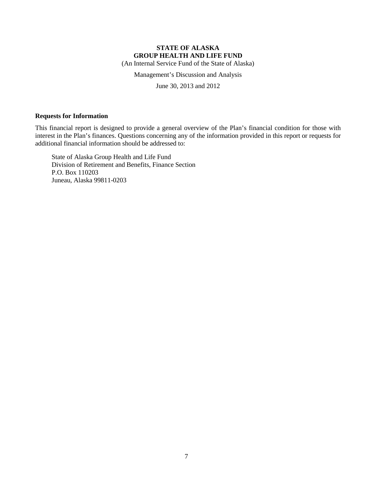(An Internal Service Fund of the State of Alaska)

Management's Discussion and Analysis

June 30, 2013 and 2012

#### **Requests for Information**

This financial report is designed to provide a general overview of the Plan's financial condition for those with interest in the Plan's finances. Questions concerning any of the information provided in this report or requests for additional financial information should be addressed to:

State of Alaska Group Health and Life Fund Division of Retirement and Benefits, Finance Section P.O. Box 110203 Juneau, Alaska 99811-0203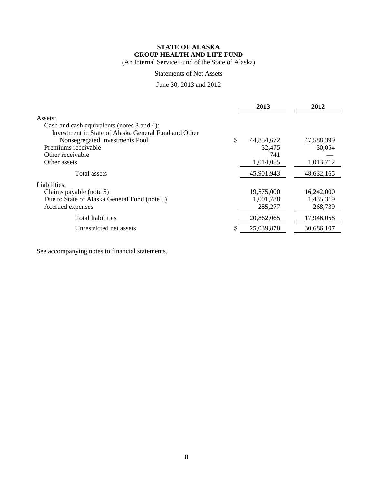(An Internal Service Fund of the State of Alaska)

# Statements of Net Assets

# June 30, 2013 and 2012

|                                                      | 2013             | 2012       |
|------------------------------------------------------|------------------|------------|
| Assets:                                              |                  |            |
| Cash and cash equivalents (notes 3 and 4):           |                  |            |
| Investment in State of Alaska General Fund and Other |                  |            |
| Nonsegregated Investments Pool                       | \$<br>44,854,672 | 47,588,399 |
| Premiums receivable                                  | 32,475           | 30,054     |
| Other receivable                                     | 741              |            |
| Other assets                                         | 1,014,055        | 1,013,712  |
| Total assets                                         | 45,901,943       | 48,632,165 |
| Liabilities:                                         |                  |            |
| Claims payable (note 5)                              | 19,575,000       | 16,242,000 |
| Due to State of Alaska General Fund (note 5)         | 1,001,788        | 1,435,319  |
| Accrued expenses                                     | 285,277          | 268,739    |
| <b>Total liabilities</b>                             | 20,862,065       | 17,946,058 |
| Unrestricted net assets                              | 25,039,878       | 30,686,107 |
|                                                      |                  |            |

See accompanying notes to financial statements.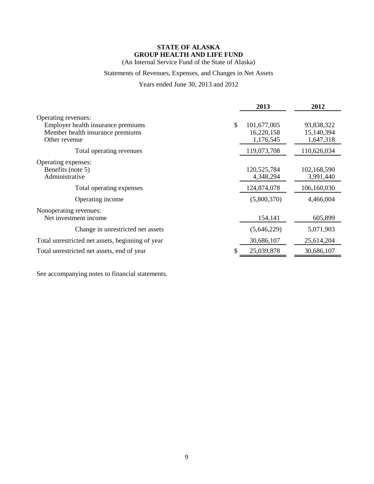(An Internal Service Fund of the State of Alaska)

# Statements of Revenues, Expenses, and Changes in Net Assets

Years ended June 30, 2013 and 2012

|                                                                                                                |    | 2013                                   | 2012                                  |
|----------------------------------------------------------------------------------------------------------------|----|----------------------------------------|---------------------------------------|
| Operating revenues:<br>Employer health insurance premiums<br>Member health insurance premiums<br>Other revenue | \$ | 101,677,005<br>16,220,158<br>1,176,545 | 93,838,322<br>15,140,394<br>1,647,318 |
| Total operating revenues                                                                                       |    | 119,073,708                            | 110,626,034                           |
| Operating expenses:<br>Benefits (note 5)<br>Administrative                                                     |    | 120,525,784<br>4,348,294               | 102,168,590<br>3,991,440              |
| Total operating expenses                                                                                       |    | 124,874,078                            | 106,160,030                           |
| Operating income                                                                                               |    | (5,800,370)                            | 4,466,004                             |
| Nonoperating revenues:<br>Net investment income                                                                |    | 154,141                                | 605,899                               |
| Change in unrestricted net assets                                                                              |    | (5,646,229)                            | 5,071,903                             |
| Total unrestricted net assets, beginning of year                                                               |    | 30,686,107                             | 25,614,204                            |
| Total unrestricted net assets, end of year                                                                     | S  | 25,039,878                             | 30,686,107                            |

See accompanying notes to financial statements.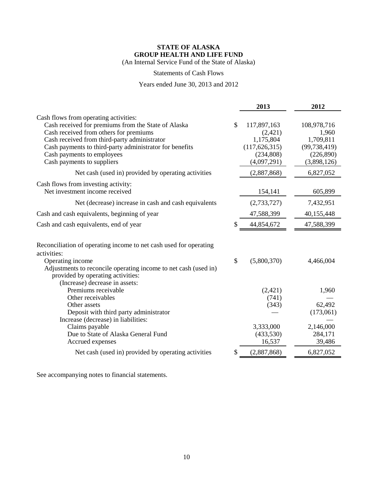(An Internal Service Fund of the State of Alaska)

# Statements of Cash Flows

# Years ended June 30, 2013 and 2012

| Cash flows from operating activities:<br>Cash received for premiums from the State of Alaska<br>\$<br>117,897,163<br>108,978,716<br>Cash received from others for premiums<br>(2,421)<br>1,960<br>Cash received from third-party administrator<br>1,175,804<br>1,709,811<br>Cash payments to third-party administrator for benefits<br>(117, 626, 315)<br>(99, 738, 419)<br>Cash payments to employees<br>(234, 808)<br>(226, 890)<br>(4,097,291)<br>Cash payments to suppliers<br>(3,898,126)<br>(2,887,868)<br>6,827,052<br>Net cash (used in) provided by operating activities<br>Cash flows from investing activity:<br>Net investment income received<br>154,141<br>605,899<br>(2,733,727)<br>7,432,951<br>Net (decrease) increase in cash and cash equivalents<br>47,588,399<br>40,155,448<br>Cash and cash equivalents, beginning of year<br>44,854,672<br>47,588,399<br>Cash and cash equivalents, end of year<br>S<br>Reconciliation of operating income to net cash used for operating<br>activities:<br>\$<br>Operating income<br>(5,800,370)<br>4,466,004<br>Adjustments to reconcile operating income to net cash (used in)<br>provided by operating activities:<br>(Increase) decrease in assets:<br>Premiums receivable<br>(2,421)<br>1,960<br>(741)<br>Other receivables<br>62,492<br>(343)<br>Other assets<br>Deposit with third party administrator<br>(173,061)<br>Increase (decrease) in liabilities:<br>Claims payable<br>3,333,000<br>2,146,000<br>Due to State of Alaska General Fund<br>(433,530)<br>284,171<br>Accrued expenses<br>16,537<br>39,486<br>(2,887,868)<br>6,827,052<br>Net cash (used in) provided by operating activities |  | 2013 | 2012 |
|-----------------------------------------------------------------------------------------------------------------------------------------------------------------------------------------------------------------------------------------------------------------------------------------------------------------------------------------------------------------------------------------------------------------------------------------------------------------------------------------------------------------------------------------------------------------------------------------------------------------------------------------------------------------------------------------------------------------------------------------------------------------------------------------------------------------------------------------------------------------------------------------------------------------------------------------------------------------------------------------------------------------------------------------------------------------------------------------------------------------------------------------------------------------------------------------------------------------------------------------------------------------------------------------------------------------------------------------------------------------------------------------------------------------------------------------------------------------------------------------------------------------------------------------------------------------------------------------------------------------------------------------------------------------|--|------|------|
|                                                                                                                                                                                                                                                                                                                                                                                                                                                                                                                                                                                                                                                                                                                                                                                                                                                                                                                                                                                                                                                                                                                                                                                                                                                                                                                                                                                                                                                                                                                                                                                                                                                                 |  |      |      |
|                                                                                                                                                                                                                                                                                                                                                                                                                                                                                                                                                                                                                                                                                                                                                                                                                                                                                                                                                                                                                                                                                                                                                                                                                                                                                                                                                                                                                                                                                                                                                                                                                                                                 |  |      |      |
|                                                                                                                                                                                                                                                                                                                                                                                                                                                                                                                                                                                                                                                                                                                                                                                                                                                                                                                                                                                                                                                                                                                                                                                                                                                                                                                                                                                                                                                                                                                                                                                                                                                                 |  |      |      |
|                                                                                                                                                                                                                                                                                                                                                                                                                                                                                                                                                                                                                                                                                                                                                                                                                                                                                                                                                                                                                                                                                                                                                                                                                                                                                                                                                                                                                                                                                                                                                                                                                                                                 |  |      |      |
|                                                                                                                                                                                                                                                                                                                                                                                                                                                                                                                                                                                                                                                                                                                                                                                                                                                                                                                                                                                                                                                                                                                                                                                                                                                                                                                                                                                                                                                                                                                                                                                                                                                                 |  |      |      |
|                                                                                                                                                                                                                                                                                                                                                                                                                                                                                                                                                                                                                                                                                                                                                                                                                                                                                                                                                                                                                                                                                                                                                                                                                                                                                                                                                                                                                                                                                                                                                                                                                                                                 |  |      |      |
|                                                                                                                                                                                                                                                                                                                                                                                                                                                                                                                                                                                                                                                                                                                                                                                                                                                                                                                                                                                                                                                                                                                                                                                                                                                                                                                                                                                                                                                                                                                                                                                                                                                                 |  |      |      |
|                                                                                                                                                                                                                                                                                                                                                                                                                                                                                                                                                                                                                                                                                                                                                                                                                                                                                                                                                                                                                                                                                                                                                                                                                                                                                                                                                                                                                                                                                                                                                                                                                                                                 |  |      |      |

See accompanying notes to financial statements.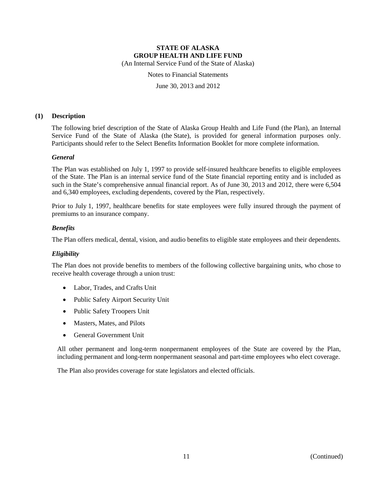Notes to Financial Statements

June 30, 2013 and 2012

#### **(1) Description**

The following brief description of the State of Alaska Group Health and Life Fund (the Plan), an Internal Service Fund of the State of Alaska (the State), is provided for general information purposes only. Participants should refer to the Select Benefits Information Booklet for more complete information.

#### *General*

The Plan was established on July 1, 1997 to provide self-insured healthcare benefits to eligible employees of the State. The Plan is an internal service fund of the State financial reporting entity and is included as such in the State's comprehensive annual financial report. As of June 30, 2013 and 2012, there were 6,504 and 6,340 employees, excluding dependents, covered by the Plan, respectively.

Prior to July 1, 1997, healthcare benefits for state employees were fully insured through the payment of premiums to an insurance company.

### *Benefits*

The Plan offers medical, dental, vision, and audio benefits to eligible state employees and their dependents.

### *Eligibility*

The Plan does not provide benefits to members of the following collective bargaining units, who chose to receive health coverage through a union trust:

- Labor, Trades, and Crafts Unit
- Public Safety Airport Security Unit
- Public Safety Troopers Unit
- Masters, Mates, and Pilots
- General Government Unit

All other permanent and long-term nonpermanent employees of the State are covered by the Plan, including permanent and long-term nonpermanent seasonal and part-time employees who elect coverage.

The Plan also provides coverage for state legislators and elected officials.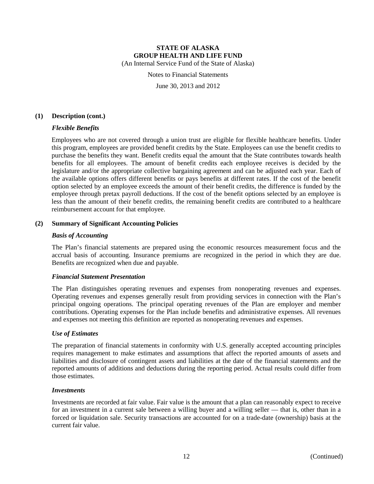Notes to Financial Statements

June 30, 2013 and 2012

#### **(1) Description (cont.)**

#### *Flexible Benefits*

Employees who are not covered through a union trust are eligible for flexible healthcare benefits. Under this program, employees are provided benefit credits by the State. Employees can use the benefit credits to purchase the benefits they want. Benefit credits equal the amount that the State contributes towards health benefits for all employees. The amount of benefit credits each employee receives is decided by the legislature and/or the appropriate collective bargaining agreement and can be adjusted each year. Each of the available options offers different benefits or pays benefits at different rates. If the cost of the benefit option selected by an employee exceeds the amount of their benefit credits, the difference is funded by the employee through pretax payroll deductions. If the cost of the benefit options selected by an employee is less than the amount of their benefit credits, the remaining benefit credits are contributed to a healthcare reimbursement account for that employee.

#### **(2) Summary of Significant Accounting Policies**

#### *Basis of Accounting*

The Plan's financial statements are prepared using the economic resources measurement focus and the accrual basis of accounting. Insurance premiums are recognized in the period in which they are due. Benefits are recognized when due and payable.

#### *Financial Statement Presentation*

The Plan distinguishes operating revenues and expenses from nonoperating revenues and expenses. Operating revenues and expenses generally result from providing services in connection with the Plan's principal ongoing operations. The principal operating revenues of the Plan are employer and member contributions. Operating expenses for the Plan include benefits and administrative expenses. All revenues and expenses not meeting this definition are reported as nonoperating revenues and expenses.

#### *Use of Estimates*

The preparation of financial statements in conformity with U.S. generally accepted accounting principles requires management to make estimates and assumptions that affect the reported amounts of assets and liabilities and disclosure of contingent assets and liabilities at the date of the financial statements and the reported amounts of additions and deductions during the reporting period. Actual results could differ from those estimates.

#### *Investments*

Investments are recorded at fair value. Fair value is the amount that a plan can reasonably expect to receive for an investment in a current sale between a willing buyer and a willing seller — that is, other than in a forced or liquidation sale. Security transactions are accounted for on a trade-date (ownership) basis at the current fair value.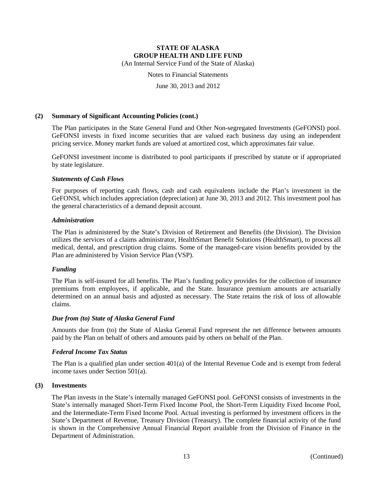(An Internal Service Fund of the State of Alaska)

Notes to Financial Statements

June 30, 2013 and 2012

### **(2) Summary of Significant Accounting Policies (cont.)**

The Plan participates in the State General Fund and Other Non-segregated Investments (GeFONSI) pool. GeFONSI invests in fixed income securities that are valued each business day using an independent pricing service. Money market funds are valued at amortized cost, which approximates fair value.

GeFONSI investment income is distributed to pool participants if prescribed by statute or if appropriated by state legislature.

#### *Statements of Cash Flows*

For purposes of reporting cash flows, cash and cash equivalents include the Plan's investment in the GeFONSI, which includes appreciation (depreciation) at June 30, 2013 and 2012. This investment pool has the general characteristics of a demand deposit account.

#### *Administration*

The Plan is administered by the State's Division of Retirement and Benefits (the Division). The Division utilizes the services of a claims administrator, HealthSmart Benefit Solutions (HealthSmart), to process all medical, dental, and prescription drug claims. Some of the managed-care vision benefits provided by the Plan are administered by Vision Service Plan (VSP).

### *Funding*

The Plan is self-insured for all benefits. The Plan's funding policy provides for the collection of insurance premiums from employees, if applicable, and the State. Insurance premium amounts are actuarially determined on an annual basis and adjusted as necessary. The State retains the risk of loss of allowable claims.

### *Due from (to) State of Alaska General Fund*

Amounts due from (to) the State of Alaska General Fund represent the net difference between amounts paid by the Plan on behalf of others and amounts paid by others on behalf of the Plan.

### *Federal Income Tax Status*

The Plan is a qualified plan under section 401(a) of the Internal Revenue Code and is exempt from federal income taxes under Section 501(a).

#### **(3) Investments**

The Plan invests in the State's internally managed GeFONSI pool. GeFONSI consists of investments in the State's internally managed Short-Term Fixed Income Pool, the Short-Term Liquidity Fixed Income Pool, and the Intermediate-Term Fixed Income Pool. Actual investing is performed by investment officers in the State's Department of Revenue, Treasury Division (Treasury). The complete financial activity of the fund is shown in the Comprehensive Annual Financial Report available from the Division of Finance in the Department of Administration.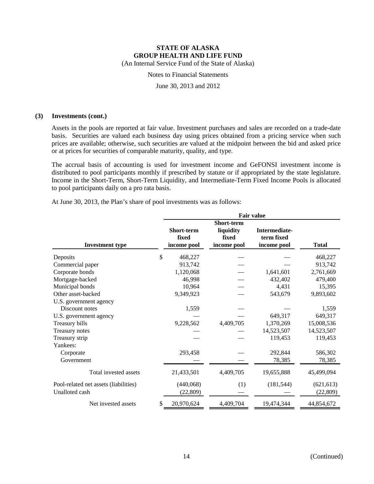Notes to Financial Statements

June 30, 2013 and 2012

#### **(3) Investments (cont.)**

Assets in the pools are reported at fair value. Investment purchases and sales are recorded on a trade-date basis. Securities are valued each business day using prices obtained from a pricing service when such prices are available; otherwise, such securities are valued at the midpoint between the bid and asked price or at prices for securities of comparable maturity, quality, and type.

The accrual basis of accounting is used for investment income and GeFONSI investment income is distributed to pool participants monthly if prescribed by statute or if appropriated by the state legislature. Income in the Short-Term, Short-Term Liquidity, and Intermediate-Term Fixed Income Pools is allocated to pool participants daily on a pro rata basis.

At June 30, 2013, the Plan's share of pool investments was as follows:

|                                       |    | Fair value           |                      |                           |              |  |  |  |
|---------------------------------------|----|----------------------|----------------------|---------------------------|--------------|--|--|--|
|                                       |    |                      | <b>Short-term</b>    |                           |              |  |  |  |
|                                       |    | <b>Short-term</b>    | liquidity            | Intermediate-             |              |  |  |  |
| <b>Investment type</b>                |    | fixed<br>income pool | fixed<br>income pool | term fixed<br>income pool | <b>Total</b> |  |  |  |
|                                       |    |                      |                      |                           |              |  |  |  |
| Deposits                              | \$ | 468,227              |                      |                           | 468,227      |  |  |  |
| Commercial paper                      |    | 913,742              |                      |                           | 913,742      |  |  |  |
| Corporate bonds                       |    | 1,120,068            |                      | 1,641,601                 | 2,761,669    |  |  |  |
| Mortgage-backed                       |    | 46,998               |                      | 432,402                   | 479,400      |  |  |  |
| Municipal bonds                       |    | 10,964               |                      | 4,431                     | 15,395       |  |  |  |
| Other asset-backed                    |    | 9,349,923            |                      | 543,679                   | 9,893,602    |  |  |  |
| U.S. government agency                |    |                      |                      |                           |              |  |  |  |
| Discount notes                        |    | 1,559                |                      |                           | 1,559        |  |  |  |
| U.S. government agency                |    |                      |                      | 649,317                   | 649,317      |  |  |  |
| Treasury bills                        |    | 9,228,562            | 4,409,705            | 1,370,269                 | 15,008,536   |  |  |  |
| Treasury notes                        |    |                      |                      | 14,523,507                | 14,523,507   |  |  |  |
| Treasury strip                        |    |                      |                      | 119,453                   | 119,453      |  |  |  |
| Yankees:                              |    |                      |                      |                           |              |  |  |  |
| Corporate                             |    | 293,458              |                      | 292,844                   | 586,302      |  |  |  |
| Government                            |    |                      |                      | 78,385                    | 78,385       |  |  |  |
| Total invested assets                 |    | 21,433,501           | 4,409,705            | 19,655,888                | 45,499,094   |  |  |  |
| Pool-related net assets (liabilities) |    | (440, 068)           | (1)                  | (181, 544)                | (621, 613)   |  |  |  |
| Unalloted cash                        |    | (22, 809)            |                      |                           | (22, 809)    |  |  |  |
| Net invested assets                   | \$ | 20,970,624           | 4,409,704            | 19,474,344                | 44,854,672   |  |  |  |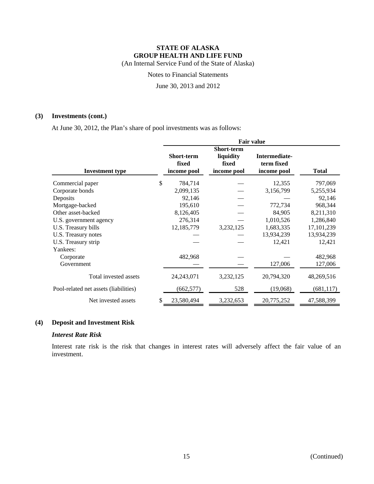Notes to Financial Statements

June 30, 2013 and 2012

#### **(3) Investments (cont.)**

At June 30, 2012, the Plan's share of pool investments was as follows:

|                                       | <b>Fair value</b>                         |                                                        |                                            |              |  |  |  |
|---------------------------------------|-------------------------------------------|--------------------------------------------------------|--------------------------------------------|--------------|--|--|--|
| <b>Investment type</b>                | <b>Short-term</b><br>fixed<br>income pool | <b>Short-term</b><br>liquidity<br>fixed<br>income pool | Intermediate-<br>term fixed<br>income pool | <b>Total</b> |  |  |  |
| Commercial paper                      | \$<br>784,714                             |                                                        | 12,355                                     | 797,069      |  |  |  |
| Corporate bonds                       | 2,099,135                                 |                                                        | 3,156,799                                  | 5,255,934    |  |  |  |
| Deposits                              | 92,146                                    |                                                        |                                            | 92,146       |  |  |  |
| Mortgage-backed                       | 195,610                                   |                                                        | 772,734                                    | 968,344      |  |  |  |
| Other asset-backed                    | 8,126,405                                 |                                                        | 84,905                                     | 8,211,310    |  |  |  |
| U.S. government agency                | 276,314                                   |                                                        | 1,010,526                                  | 1,286,840    |  |  |  |
| U.S. Treasury bills                   | 12,185,779                                | 3,232,125                                              | 1,683,335                                  | 17,101,239   |  |  |  |
| U.S. Treasury notes                   |                                           |                                                        | 13,934,239                                 | 13,934,239   |  |  |  |
| U.S. Treasury strip                   |                                           |                                                        | 12,421                                     | 12,421       |  |  |  |
| Yankees:                              |                                           |                                                        |                                            |              |  |  |  |
| Corporate                             | 482,968                                   |                                                        |                                            | 482,968      |  |  |  |
| Government                            |                                           |                                                        | 127,006                                    | 127,006      |  |  |  |
| Total invested assets                 | 24,243,071                                | 3,232,125                                              | 20,794,320                                 | 48,269,516   |  |  |  |
| Pool-related net assets (liabilities) | (662, 577)                                | 528                                                    | (19,068)                                   | (681, 117)   |  |  |  |
| Net invested assets                   | \$<br>23,580,494                          | 3,232,653                                              | 20,775,252                                 | 47,588,399   |  |  |  |

# **(4) Deposit and Investment Risk**

#### *Interest Rate Risk*

Interest rate risk is the risk that changes in interest rates will adversely affect the fair value of an investment.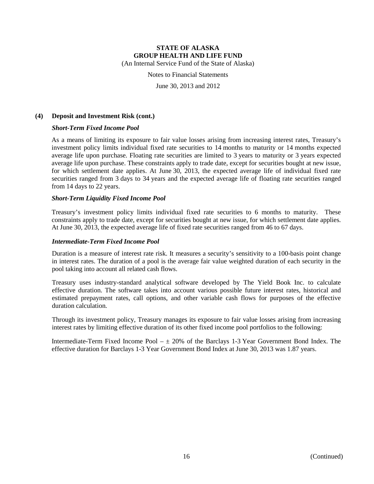Notes to Financial Statements

June 30, 2013 and 2012

#### **(4) Deposit and Investment Risk (cont.)**

#### *Short-Term Fixed Income Pool*

As a means of limiting its exposure to fair value losses arising from increasing interest rates, Treasury's investment policy limits individual fixed rate securities to 14 months to maturity or 14 months expected average life upon purchase. Floating rate securities are limited to 3 years to maturity or 3 years expected average life upon purchase. These constraints apply to trade date, except for securities bought at new issue, for which settlement date applies. At June 30, 2013, the expected average life of individual fixed rate securities ranged from 3 days to 34 years and the expected average life of floating rate securities ranged from 14 days to 22 years.

### *Short-Term Liquidity Fixed Income Pool*

Treasury's investment policy limits individual fixed rate securities to 6 months to maturity. These constraints apply to trade date, except for securities bought at new issue, for which settlement date applies. At June 30, 2013, the expected average life of fixed rate securities ranged from 46 to 67 days.

#### *Intermediate-Term Fixed Income Pool*

Duration is a measure of interest rate risk. It measures a security's sensitivity to a 100-basis point change in interest rates. The duration of a pool is the average fair value weighted duration of each security in the pool taking into account all related cash flows.

Treasury uses industry-standard analytical software developed by The Yield Book Inc. to calculate effective duration. The software takes into account various possible future interest rates, historical and estimated prepayment rates, call options, and other variable cash flows for purposes of the effective duration calculation.

Through its investment policy, Treasury manages its exposure to fair value losses arising from increasing interest rates by limiting effective duration of its other fixed income pool portfolios to the following:

Intermediate-Term Fixed Income Pool  $- \pm 20\%$  of the Barclays 1-3 Year Government Bond Index. The effective duration for Barclays 1-3 Year Government Bond Index at June 30, 2013 was 1.87 years.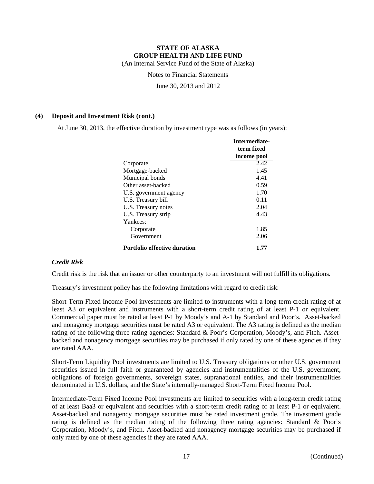(An Internal Service Fund of the State of Alaska)

Notes to Financial Statements

June 30, 2013 and 2012

#### **(4) Deposit and Investment Risk (cont.)**

At June 30, 2013, the effective duration by investment type was as follows (in years):

|                                     | Intermediate-<br>term fixed |
|-------------------------------------|-----------------------------|
|                                     | income pool                 |
| Corporate                           | 2.42                        |
| Mortgage-backed                     | 1.45                        |
| Municipal bonds                     | 4.41                        |
| Other asset-backed                  | 0.59                        |
| U.S. government agency              | 1.70                        |
| U.S. Treasury bill                  | 0.11                        |
| U.S. Treasury notes                 | 2.04                        |
| U.S. Treasury strip                 | 4.43                        |
| Yankees:                            |                             |
| Corporate                           | 1.85                        |
| Government                          | 2.06                        |
| <b>Portfolio effective duration</b> | 1.77                        |

### *Credit Risk*

Credit risk is the risk that an issuer or other counterparty to an investment will not fulfill its obligations.

Treasury's investment policy has the following limitations with regard to credit risk:

Short-Term Fixed Income Pool investments are limited to instruments with a long-term credit rating of at least A3 or equivalent and instruments with a short-term credit rating of at least P-1 or equivalent. Commercial paper must be rated at least P-1 by Moody's and A-1 by Standard and Poor's. Asset-backed and nonagency mortgage securities must be rated A3 or equivalent. The A3 rating is defined as the median rating of the following three rating agencies: Standard & Poor's Corporation, Moody's, and Fitch. Assetbacked and nonagency mortgage securities may be purchased if only rated by one of these agencies if they are rated AAA.

Short-Term Liquidity Pool investments are limited to U.S. Treasury obligations or other U.S. government securities issued in full faith or guaranteed by agencies and instrumentalities of the U.S. government, obligations of foreign governments, sovereign states, supranational entities, and their instrumentalities denominated in U.S. dollars, and the State's internally-managed Short-Term Fixed Income Pool.

Intermediate-Term Fixed Income Pool investments are limited to securities with a long-term credit rating of at least Baa3 or equivalent and securities with a short-term credit rating of at least P-1 or equivalent. Asset-backed and nonagency mortgage securities must be rated investment grade. The investment grade rating is defined as the median rating of the following three rating agencies: Standard & Poor's Corporation, Moody's, and Fitch. Asset-backed and nonagency mortgage securities may be purchased if only rated by one of these agencies if they are rated AAA.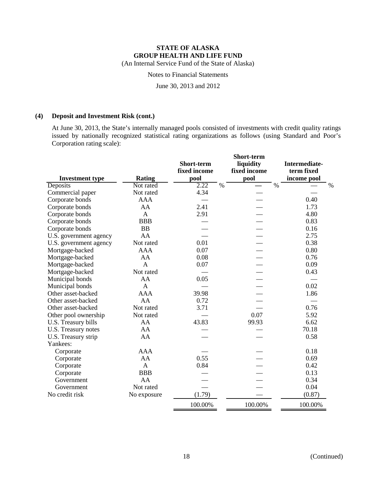# Notes to Financial Statements

June 30, 2013 and 2012

#### **(4) Deposit and Investment Risk (cont.)**

At June 30, 2013, the State's internally managed pools consisted of investments with credit quality ratings issued by nationally recognized statistical rating organizations as follows (using Standard and Poor's Corporation rating scale):

| <b>Investment type</b> | <b>Rating</b>  | Short-term<br>fixed income<br>pool |      | Short-term<br>liquidity<br>fixed income<br>pool |      | Intermediate-<br>term fixed<br>income pool |      |
|------------------------|----------------|------------------------------------|------|-------------------------------------------------|------|--------------------------------------------|------|
| Deposits               | Not rated      | 2.22                               | $\%$ |                                                 | $\%$ |                                            | $\%$ |
| Commercial paper       | Not rated      | 4.34                               |      |                                                 |      |                                            |      |
| Corporate bonds        | <b>AAA</b>     |                                    |      |                                                 |      | 0.40                                       |      |
| Corporate bonds        | AA             | 2.41                               |      |                                                 |      | 1.73                                       |      |
| Corporate bonds        | $\mathbf{A}$   | 2.91                               |      |                                                 |      | 4.80                                       |      |
| Corporate bonds        | <b>BBB</b>     |                                    |      |                                                 |      | 0.83                                       |      |
| Corporate bonds        | <b>BB</b>      |                                    |      |                                                 |      | 0.16                                       |      |
| U.S. government agency | AA             |                                    |      |                                                 |      | 2.75                                       |      |
| U.S. government agency | Not rated      | 0.01                               |      |                                                 |      | 0.38                                       |      |
| Mortgage-backed        | <b>AAA</b>     | 0.07                               |      |                                                 |      | 0.80                                       |      |
| Mortgage-backed        | AA             | 0.08                               |      |                                                 |      | 0.76                                       |      |
| Mortgage-backed        | $\overline{A}$ | 0.07                               |      |                                                 |      | 0.09                                       |      |
| Mortgage-backed        | Not rated      |                                    |      |                                                 |      | 0.43                                       |      |
| Municipal bonds        | AA             | 0.05                               |      |                                                 |      |                                            |      |
| Municipal bonds        | $\mathbf{A}$   |                                    |      |                                                 |      | 0.02                                       |      |
| Other asset-backed     | <b>AAA</b>     | 39.98                              |      |                                                 |      | 1.86                                       |      |
| Other asset-backed     | AA             | 0.72                               |      |                                                 |      |                                            |      |
| Other asset-backed     | Not rated      | 3.71                               |      |                                                 |      | 0.76                                       |      |
| Other pool ownership   | Not rated      |                                    |      | 0.07                                            |      | 5.92                                       |      |
| U.S. Treasury bills    | AA             | 43.83                              |      | 99.93                                           |      | 6.62                                       |      |
| U.S. Treasury notes    | AA             |                                    |      |                                                 |      | 70.18                                      |      |
| U.S. Treasury strip    | AA             |                                    |      |                                                 |      | 0.58                                       |      |
| Yankees:               |                |                                    |      |                                                 |      |                                            |      |
| Corporate              | <b>AAA</b>     |                                    |      |                                                 |      | 0.18                                       |      |
| Corporate              | AA             | 0.55                               |      |                                                 |      | 0.69                                       |      |
| Corporate              | $\mathbf{A}$   | 0.84                               |      |                                                 |      | 0.42                                       |      |
| Corporate              | <b>BBB</b>     |                                    |      |                                                 |      | 0.13                                       |      |
| Government             | AA             |                                    |      |                                                 |      | 0.34                                       |      |
| Government             | Not rated      |                                    |      |                                                 |      | 0.04                                       |      |
| No credit risk         | No exposure    | (1.79)                             |      |                                                 |      | (0.87)                                     |      |
|                        |                | 100.00%                            |      | 100.00%                                         |      | 100.00%                                    |      |